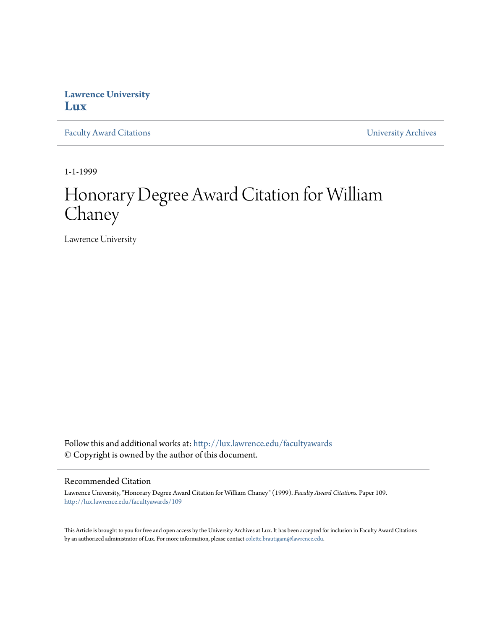## **Lawrence University [Lux](http://lux.lawrence.edu?utm_source=lux.lawrence.edu%2Ffacultyawards%2F109&utm_medium=PDF&utm_campaign=PDFCoverPages)**

[Faculty Award Citations](http://lux.lawrence.edu/facultyawards?utm_source=lux.lawrence.edu%2Ffacultyawards%2F109&utm_medium=PDF&utm_campaign=PDFCoverPages) **Example 2018** [University Archives](http://lux.lawrence.edu/archives?utm_source=lux.lawrence.edu%2Ffacultyawards%2F109&utm_medium=PDF&utm_campaign=PDFCoverPages)

1-1-1999

# Honorary Degree Award Citation for William Chaney

Lawrence University

Follow this and additional works at: [http://lux.lawrence.edu/facultyawards](http://lux.lawrence.edu/facultyawards?utm_source=lux.lawrence.edu%2Ffacultyawards%2F109&utm_medium=PDF&utm_campaign=PDFCoverPages) © Copyright is owned by the author of this document.

#### Recommended Citation

Lawrence University, "Honorary Degree Award Citation for William Chaney" (1999). *Faculty Award Citations.* Paper 109. [http://lux.lawrence.edu/facultyawards/109](http://lux.lawrence.edu/facultyawards/109?utm_source=lux.lawrence.edu%2Ffacultyawards%2F109&utm_medium=PDF&utm_campaign=PDFCoverPages)

This Article is brought to you for free and open access by the University Archives at Lux. It has been accepted for inclusion in Faculty Award Citations by an authorized administrator of Lux. For more information, please contact [colette.brautigam@lawrence.edu](mailto:colette.brautigam@lawrence.edu).